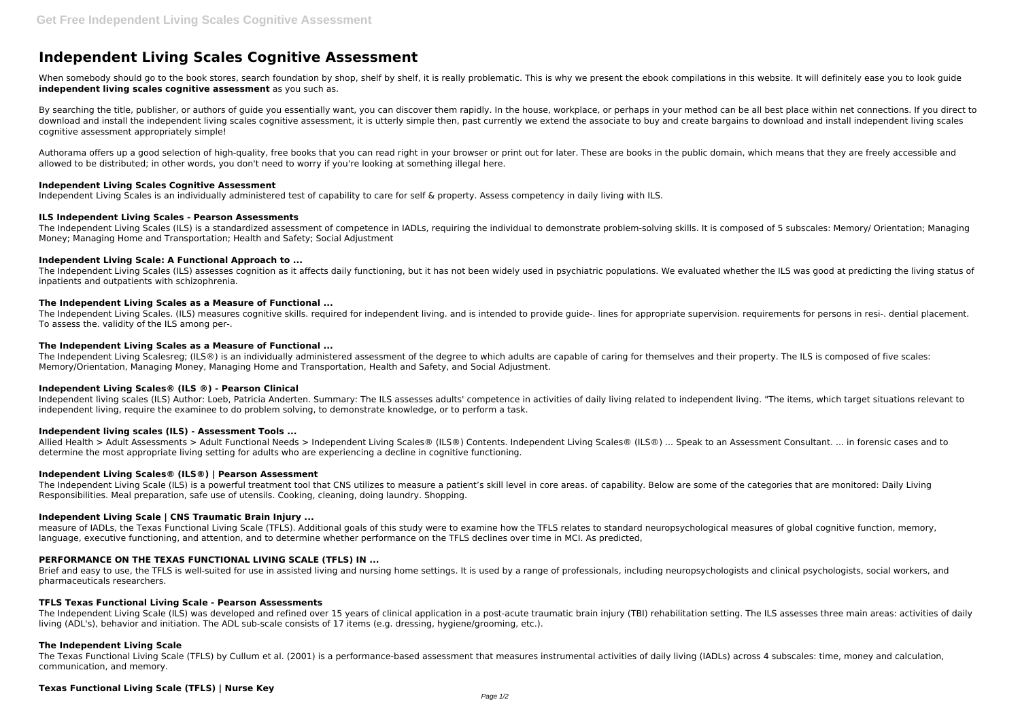# **Independent Living Scales Cognitive Assessment**

When somebody should go to the book stores, search foundation by shop, shelf by shelf, it is really problematic. This is why we present the ebook compilations in this website. It will definitely ease you to look guide **independent living scales cognitive assessment** as you such as.

By searching the title, publisher, or authors of quide you essentially want, you can discover them rapidly. In the house, workplace, or perhaps in your method can be all best place within net connections. If you direct to download and install the independent living scales cognitive assessment, it is utterly simple then, past currently we extend the associate to buy and create bargains to download and install independent living scales cognitive assessment appropriately simple!

The Independent Living Scales (ILS) is a standardized assessment of competence in IADLs, requiring the individual to demonstrate problem-solving skills. It is composed of 5 subscales: Memory/ Orientation; Managing Money; Managing Home and Transportation; Health and Safety; Social Adjustment

The Independent Living Scales (ILS) assesses cognition as it affects daily functioning, but it has not been widely used in psychiatric populations. We evaluated whether the ILS was good at predicting the living status of inpatients and outpatients with schizophrenia.

Authorama offers up a good selection of high-quality, free books that you can read right in your browser or print out for later. These are books in the public domain, which means that they are freely accessible and allowed to be distributed; in other words, you don't need to worry if you're looking at something illegal here.

# **Independent Living Scales Cognitive Assessment**

Independent Living Scales is an individually administered test of capability to care for self & property. Assess competency in daily living with ILS.

The Independent Living Scalesreg; (ILS®) is an individually administered assessment of the degree to which adults are capable of caring for themselves and their property. The ILS is composed of five scales: Memory/Orientation, Managing Money, Managing Home and Transportation, Health and Safety, and Social Adjustment.

# **ILS Independent Living Scales - Pearson Assessments**

# **Independent Living Scale: A Functional Approach to ...**

# **The Independent Living Scales as a Measure of Functional ...**

The Independent Living Scales. (ILS) measures cognitive skills. required for independent living. and is intended to provide guide-. lines for appropriate supervision. requirements for persons in resi-. dential placement. To assess the. validity of the ILS among per-.

Brief and easy to use, the TFLS is well-suited for use in assisted living and nursing home settings. It is used by a range of professionals, including neuropsychologists and clinical psychologists, social workers, and pharmaceuticals researchers.

## **The Independent Living Scales as a Measure of Functional ...**

## **Independent Living Scales® (ILS ®) - Pearson Clinical**

Independent living scales (ILS) Author: Loeb, Patricia Anderten. Summary: The ILS assesses adults' competence in activities of daily living related to independent living. "The items, which target situations relevant to independent living, require the examinee to do problem solving, to demonstrate knowledge, or to perform a task.

## **Independent living scales (ILS) - Assessment Tools ...**

Allied Health > Adult Assessments > Adult Functional Needs > Independent Living Scales® (ILS®) Contents. Independent Living Scales® (ILS®) ... Speak to an Assessment Consultant. ... in forensic cases and to determine the most appropriate living setting for adults who are experiencing a decline in cognitive functioning.

## **Independent Living Scales® (ILS®) | Pearson Assessment**

The Independent Living Scale (ILS) is a powerful treatment tool that CNS utilizes to measure a patient's skill level in core areas. of capability. Below are some of the categories that are monitored: Daily Living Responsibilities. Meal preparation, safe use of utensils. Cooking, cleaning, doing laundry. Shopping.

# **Independent Living Scale | CNS Traumatic Brain Injury ...**

measure of IADLs, the Texas Functional Living Scale (TFLS). Additional goals of this study were to examine how the TFLS relates to standard neuropsychological measures of global cognitive function, memory, language, executive functioning, and attention, and to determine whether performance on the TFLS declines over time in MCI. As predicted,

# **PERFORMANCE ON THE TEXAS FUNCTIONAL LIVING SCALE (TFLS) IN ...**

## **TFLS Texas Functional Living Scale - Pearson Assessments**

The Independent Living Scale (ILS) was developed and refined over 15 years of clinical application in a post-acute traumatic brain injury (TBI) rehabilitation setting. The ILS assesses three main areas: activities of daily living (ADL's), behavior and initiation. The ADL sub-scale consists of 17 items (e.g. dressing, hygiene/grooming, etc.).

## **The Independent Living Scale**

The Texas Functional Living Scale (TFLS) by Cullum et al. (2001) is a performance-based assessment that measures instrumental activities of daily living (IADLs) across 4 subscales: time, money and calculation, communication, and memory.

## **Texas Functional Living Scale (TFLS) | Nurse Key**